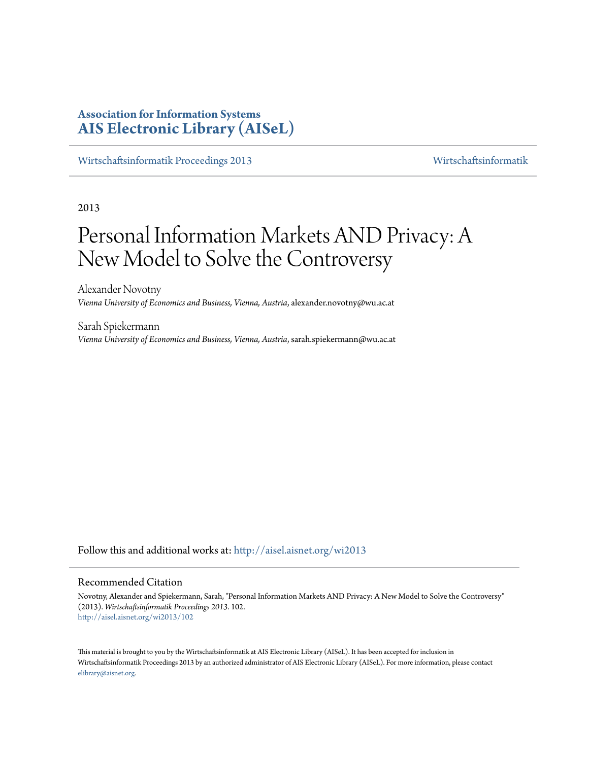# **Association for Information Systems [AIS Electronic Library \(AISeL\)](http://aisel.aisnet.org?utm_source=aisel.aisnet.org%2Fwi2013%2F102&utm_medium=PDF&utm_campaign=PDFCoverPages)**

[Wirtschaftsinformatik Proceedings 2013](http://aisel.aisnet.org/wi2013?utm_source=aisel.aisnet.org%2Fwi2013%2F102&utm_medium=PDF&utm_campaign=PDFCoverPages) [Wirtschaftsinformatik](http://aisel.aisnet.org/wi?utm_source=aisel.aisnet.org%2Fwi2013%2F102&utm_medium=PDF&utm_campaign=PDFCoverPages)

2013

# Personal Information Markets AND Privacy: A New Model to Solve the Controversy

Alexander Novotny *Vienna University of Economics and Business, Vienna, Austria*, alexander.novotny@wu.ac.at

Sarah Spiekermann *Vienna University of Economics and Business, Vienna, Austria*, sarah.spiekermann@wu.ac.at

Follow this and additional works at: [http://aisel.aisnet.org/wi2013](http://aisel.aisnet.org/wi2013?utm_source=aisel.aisnet.org%2Fwi2013%2F102&utm_medium=PDF&utm_campaign=PDFCoverPages)

#### Recommended Citation

Novotny, Alexander and Spiekermann, Sarah, "Personal Information Markets AND Privacy: A New Model to Solve the Controversy" (2013). *Wirtschaftsinformatik Proceedings 2013*. 102. [http://aisel.aisnet.org/wi2013/102](http://aisel.aisnet.org/wi2013/102?utm_source=aisel.aisnet.org%2Fwi2013%2F102&utm_medium=PDF&utm_campaign=PDFCoverPages)

This material is brought to you by the Wirtschaftsinformatik at AIS Electronic Library (AISeL). It has been accepted for inclusion in Wirtschaftsinformatik Proceedings 2013 by an authorized administrator of AIS Electronic Library (AISeL). For more information, please contact [elibrary@aisnet.org.](mailto:elibrary@aisnet.org%3E)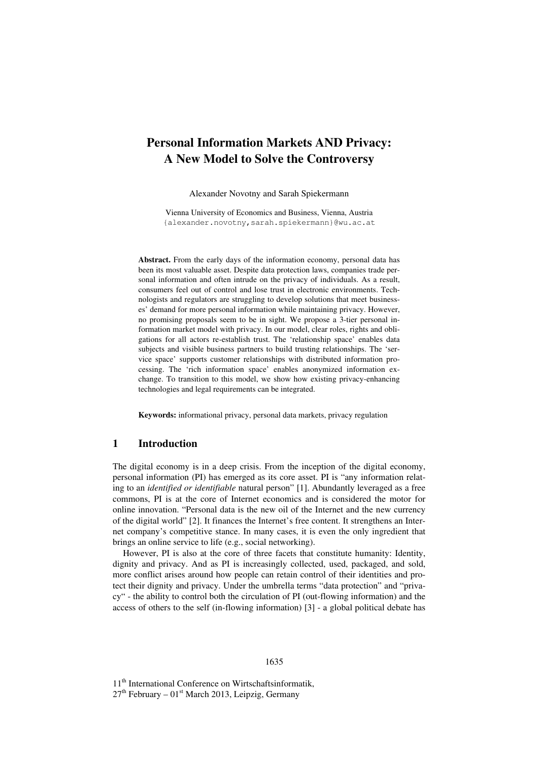# **Personal Information Markets AND Privacy: A New Model to Solve the Controversy**

Alexander Novotny and Sarah Spiekermann

Vienna University of Economics and Business, Vienna, Austria {alexander.novotny,sarah.spiekermann}@wu.ac.at

**Abstract.** From the early days of the information economy, personal data has been its most valuable asset. Despite data protection laws, companies trade personal information and often intrude on the privacy of individuals. As a result, consumers feel out of control and lose trust in electronic environments. Technologists and regulators are struggling to develop solutions that meet businesses' demand for more personal information while maintaining privacy. However, no promising proposals seem to be in sight. We propose a 3-tier personal information market model with privacy. In our model, clear roles, rights and obligations for all actors re-establish trust. The 'relationship space' enables data subjects and visible business partners to build trusting relationships. The 'service space' supports customer relationships with distributed information processing. The 'rich information space' enables anonymized information exchange. To transition to this model, we show how existing privacy-enhancing technologies and legal requirements can be integrated.

**Keywords:** informational privacy, personal data markets, privacy regulation

#### **1 Introduction**

The digital economy is in a deep crisis. From the inception of the digital economy, personal information (PI) has emerged as its core asset. PI is "any information relating to an *identified or identifiable* natural person" [1]. Abundantly leveraged as a free commons, PI is at the core of Internet economics and is considered the motor for online innovation. "Personal data is the new oil of the Internet and the new currency of the digital world" [2]. It finances the Internet's free content. It strengthens an Internet company's competitive stance. In many cases, it is even the only ingredient that brings an online service to life (e.g., social networking).

However, PI is also at the core of three facets that constitute humanity: Identity, dignity and privacy. And as PI is increasingly collected, used, packaged, and sold, more conflict arises around how people can retain control of their identities and protect their dignity and privacy. Under the umbrella terms "data protection" and "privacy" - the ability to control both the circulation of PI (out-flowing information) and the access of others to the self (in-flowing information) [3] - a global political debate has

11<sup>th</sup> International Conference on Wirtschaftsinformatik,  $27<sup>th</sup>$  February –  $01<sup>st</sup>$  March 2013, Leipzig, Germany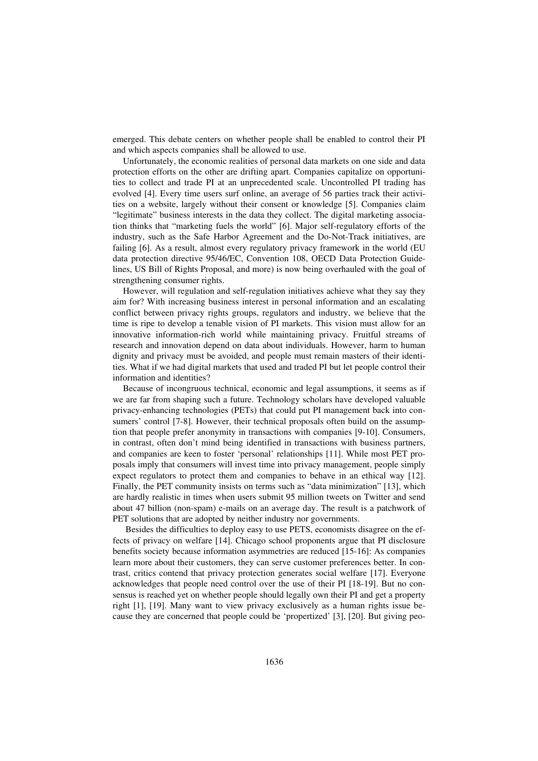emerged. This debate centers on whether people shall be enabled to control their PI and which aspects companies shall be allowed to use.

Unfortunately, the economic realities of personal data markets on one side and data protection efforts on the other are drifting apart. Companies capitalize on opportunities to collect and trade PI at an unprecedented scale. Uncontrolled PI trading has evolved [4]. Every time users surf online, an average of 56 parties track their activities on a website, largely without their consent or knowledge [5]. Companies claim "legitimate" business interests in the data they collect. The digital marketing association thinks that "marketing fuels the world" [6]. Major self-regulatory efforts of the industry, such as the Safe Harbor Agreement and the Do-Not-Track initiatives, are failing [6]. As a result, almost every regulatory privacy framework in the world (EU data protection directive 95/46/EC, Convention 108, OECD Data Protection Guidelines, US Bill of Rights Proposal, and more) is now being overhauled with the goal of strengthening consumer rights.

However, will regulation and self-regulation initiatives achieve what they say they aim for? With increasing business interest in personal information and an escalating conflict between privacy rights groups, regulators and industry, we believe that the time is ripe to develop a tenable vision of PI markets. This vision must allow for an innovative information-rich world while maintaining privacy. Fruitful streams of research and innovation depend on data about individuals. However, harm to human dignity and privacy must be avoided, and people must remain masters of their identities. What if we had digital markets that used and traded PI but let people control their information and identities?

Because of incongruous technical, economic and legal assumptions, it seems as if we are far from shaping such a future. Technology scholars have developed valuable privacy-enhancing technologies (PETs) that could put PI management back into consumers' control [7-8]. However, their technical proposals often build on the assumption that people prefer anonymity in transactions with companies [9-10]. Consumers, in contrast, often don't mind being identified in transactions with business partners, and companies are keen to foster 'personal' relationships [11]. While most PET proposals imply that consumers will invest time into privacy management, people simply expect regulators to protect them and companies to behave in an ethical way [12]. Finally, the PET community insists on terms such as "data minimization" [13], which are hardly realistic in times when users submit 95 million tweets on Twitter and send about 47 billion (non-spam) e-mails on an average day. The result is a patchwork of PET solutions that are adopted by neither industry nor governments.

Besides the difficulties to deploy easy to use PETS, economists disagree on the effects of privacy on welfare [14]. Chicago school proponents argue that PI disclosure benefits society because information asymmetries are reduced [15-16]: As companies learn more about their customers, they can serve customer preferences better. In contrast, critics contend that privacy protection generates social welfare [17]. Everyone acknowledges that people need control over the use of their PI [18-19]. But no consensus is reached yet on whether people should legally own their PI and get a property right [1], [19]. Many want to view privacy exclusively as a human rights issue because they are concerned that people could be 'propertized' [3], [20]. But giving peo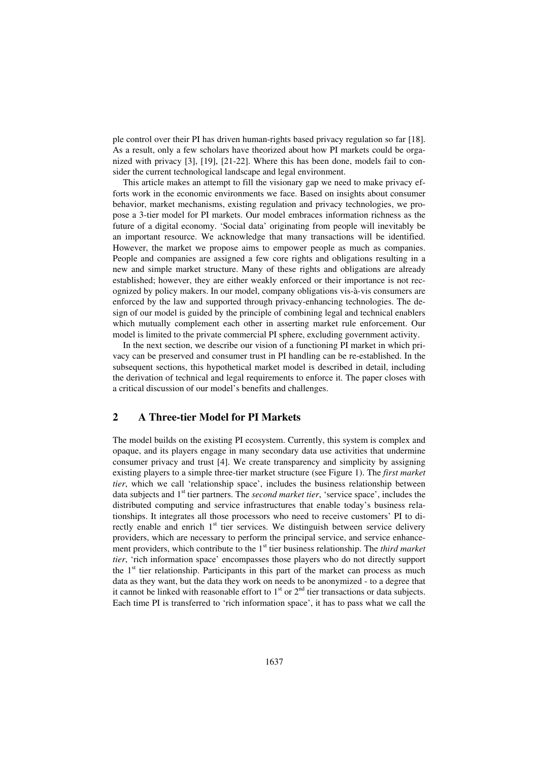ple control over their PI has driven human-rights based privacy regulation so far [18]. As a result, only a few scholars have theorized about how PI markets could be organized with privacy [3], [19], [21-22]. Where this has been done, models fail to consider the current technological landscape and legal environment.

This article makes an attempt to fill the visionary gap we need to make privacy efforts work in the economic environments we face. Based on insights about consumer behavior, market mechanisms, existing regulation and privacy technologies, we propose a 3-tier model for PI markets. Our model embraces information richness as the future of a digital economy. 'Social data' originating from people will inevitably be an important resource. We acknowledge that many transactions will be identified. However, the market we propose aims to empower people as much as companies. People and companies are assigned a few core rights and obligations resulting in a new and simple market structure. Many of these rights and obligations are already established; however, they are either weakly enforced or their importance is not recognized by policy makers. In our model, company obligations vis-à-vis consumers are enforced by the law and supported through privacy-enhancing technologies. The design of our model is guided by the principle of combining legal and technical enablers which mutually complement each other in asserting market rule enforcement. Our model is limited to the private commercial PI sphere, excluding government activity.

In the next section, we describe our vision of a functioning PI market in which privacy can be preserved and consumer trust in PI handling can be re-established. In the subsequent sections, this hypothetical market model is described in detail, including the derivation of technical and legal requirements to enforce it. The paper closes with a critical discussion of our model's benefits and challenges.

## **2 A Three-tier Model for PI Markets**

The model builds on the existing PI ecosystem. Currently, this system is complex and opaque, and its players engage in many secondary data use activities that undermine consumer privacy and trust [4]. We create transparency and simplicity by assigning existing players to a simple three-tier market structure (see Figure 1). The *first market tier*, which we call 'relationship space', includes the business relationship between data subjects and 1<sup>st</sup> tier partners. The *second market tier*, 'service space', includes the distributed computing and service infrastructures that enable today's business relationships. It integrates all those processors who need to receive customers' PI to directly enable and enrich  $1<sup>st</sup>$  tier services. We distinguish between service delivery providers, which are necessary to perform the principal service, and service enhancement providers, which contribute to the 1<sup>st</sup> tier business relationship. The *third market tier*, 'rich information space' encompasses those players who do not directly support the  $1<sup>st</sup>$  tier relationship. Participants in this part of the market can process as much data as they want, but the data they work on needs to be anonymized - to a degree that it cannot be linked with reasonable effort to  $1<sup>st</sup>$  or  $2<sup>nd</sup>$  tier transactions or data subjects. Each time PI is transferred to 'rich information space', it has to pass what we call the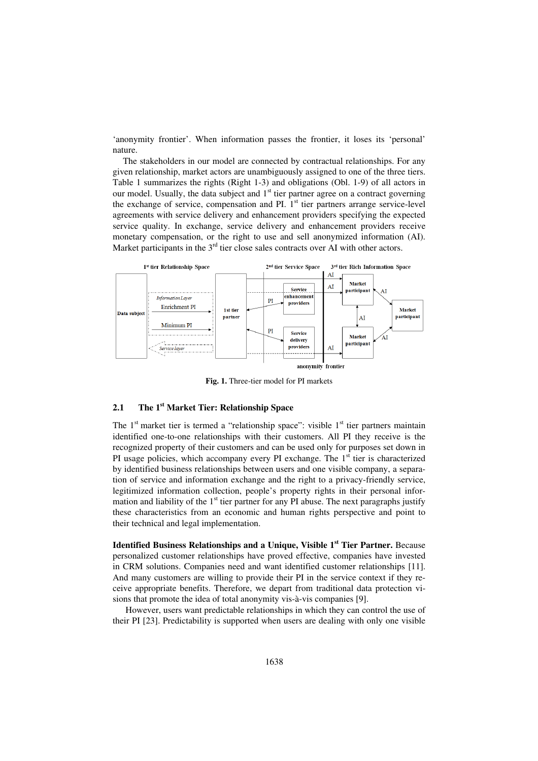'anonymity frontier'. When information passes the frontier, it loses its 'personal' nature.

The stakeholders in our model are connected by contractual relationships. For any given relationship, market actors are unambiguously assigned to one of the three tiers. Table 1 summarizes the rights (Right 1-3) and obligations (Obl. 1-9) of all actors in our model. Usually, the data subject and  $1<sup>st</sup>$  tier partner agree on a contract governing the exchange of service, compensation and PI.  $1<sup>st</sup>$  tier partners arrange service-level agreements with service delivery and enhancement providers specifying the expected service quality. In exchange, service delivery and enhancement providers receive monetary compensation, or the right to use and sell anonymized information (AI). Market participants in the  $3<sup>rd</sup>$  tier close sales contracts over AI with other actors.



**Fig. 1.** Three-tier model for PI markets

#### **2.1 The 1st Market Tier: Relationship Space**

The  $1<sup>st</sup>$  market tier is termed a "relationship space": visible  $1<sup>st</sup>$  tier partners maintain identified one-to-one relationships with their customers. All PI they receive is the recognized property of their customers and can be used only for purposes set down in PI usage policies, which accompany every PI exchange. The  $1<sup>st</sup>$  tier is characterized by identified business relationships between users and one visible company, a separation of service and information exchange and the right to a privacy-friendly service, legitimized information collection, people's property rights in their personal information and liability of the  $1<sup>st</sup>$  tier partner for any PI abuse. The next paragraphs justify these characteristics from an economic and human rights perspective and point to their technical and legal implementation.

**Identified Business Relationships and a Unique, Visible 1st Tier Partner.** Because personalized customer relationships have proved effective, companies have invested in CRM solutions. Companies need and want identified customer relationships [11]. And many customers are willing to provide their PI in the service context if they receive appropriate benefits. Therefore, we depart from traditional data protection visions that promote the idea of total anonymity vis-à-vis companies [9].

However, users want predictable relationships in which they can control the use of their PI [23]. Predictability is supported when users are dealing with only one visible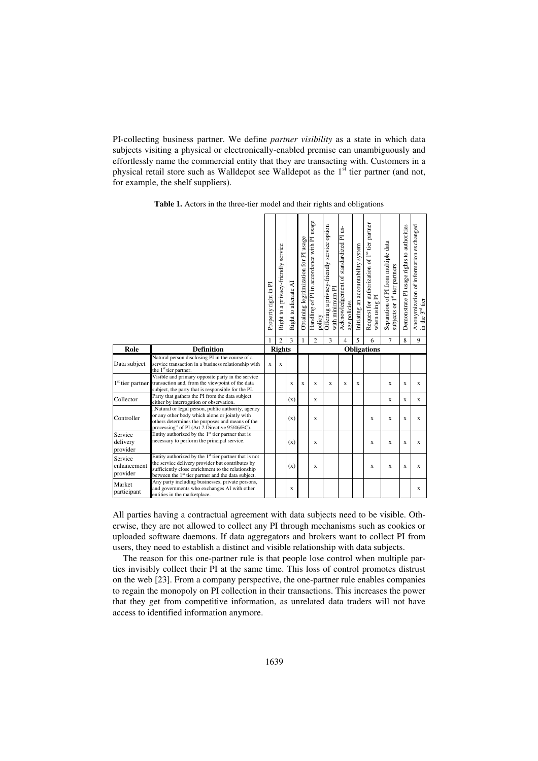PI-collecting business partner. We define *partner visibility* as a state in which data subjects visiting a physical or electronically-enabled premise can unambiguously and effortlessly name the commercial entity that they are transacting with. Customers in a physical retail store such as Walldepot see Walldepot as the 1<sup>st</sup> tier partner (and not, for example, the shelf suppliers).

|                                    |                                                                                                                                                                                                                                              | Property right in PI | Right to a privacy-friendly service | Right to alienate AI | Obtaining legitimization for PI usage | Handling of PI in accordance with PI usage<br>policy | Offering a privacy-friendly service option<br>with minimum PI | Acknowledgement of standardized PI us-<br>age policies | Initiating an accountability system | Request for authorization of 1st tier partner<br>when using PI | Separation of PI from multiple data<br>subjects or 1 <sup>st</sup> tier partners | Demonstrate PI usage rights to authorities | Anonymization of information exchanged<br>in the 3 <sup>rd</sup> tier |
|------------------------------------|----------------------------------------------------------------------------------------------------------------------------------------------------------------------------------------------------------------------------------------------|----------------------|-------------------------------------|----------------------|---------------------------------------|------------------------------------------------------|---------------------------------------------------------------|--------------------------------------------------------|-------------------------------------|----------------------------------------------------------------|----------------------------------------------------------------------------------|--------------------------------------------|-----------------------------------------------------------------------|
|                                    |                                                                                                                                                                                                                                              | 1                    | $\overline{c}$                      | 3                    | 1                                     | $\overline{c}$                                       | 3                                                             | 4                                                      | 5                                   | 6                                                              | $\overline{7}$                                                                   | 8                                          | 9                                                                     |
| Role                               | <b>Definition</b>                                                                                                                                                                                                                            |                      | <b>Rights</b>                       |                      |                                       |                                                      |                                                               |                                                        |                                     | <b>Obligations</b>                                             |                                                                                  |                                            |                                                                       |
| Data subject                       | Natural person disclosing PI in the course of a<br>service transaction in a business relationship with<br>the 1 <sup>st</sup> tier partner.                                                                                                  | X                    | X                                   |                      |                                       |                                                      |                                                               |                                                        |                                     |                                                                |                                                                                  |                                            |                                                                       |
| 1 <sup>st</sup> tier partner       | Visible and primary opposite party in the service<br>transaction and, from the viewpoint of the data<br>subject, the party that is responsible for the PI.                                                                                   |                      |                                     | X                    | X                                     | X                                                    | $\mathbf x$                                                   | X                                                      | X                                   |                                                                | $\mathbf x$                                                                      | $\mathbf x$                                | X                                                                     |
| Collector                          | Party that gathers the PI from the data subject<br>either by interrogation or observation.                                                                                                                                                   |                      |                                     | (x)                  |                                       | X                                                    |                                                               |                                                        |                                     |                                                                | $\mathbf x$                                                                      | X                                          | X                                                                     |
| Controller                         | "Natural or legal person, public authority, agency<br>or any other body which alone or jointly with<br>others determines the purposes and means of the<br>processing" of PI (Art 2 Directive 95/46/EC).                                      |                      |                                     | (x)                  |                                       | $\mathbf x$                                          |                                                               |                                                        |                                     | $\mathbf x$                                                    | $\mathbf x$                                                                      | $\mathbf x$                                | X                                                                     |
| Service<br>delivery<br>provider    | Entity authorized by the 1 <sup>st</sup> tier partner that is<br>necessary to perform the principal service.                                                                                                                                 |                      |                                     | (x)                  |                                       | X                                                    |                                                               |                                                        |                                     | $\bf{X}$                                                       | $\mathbf x$                                                                      | X                                          | X                                                                     |
| Service<br>enhancement<br>provider | Entity authorized by the 1 <sup>st</sup> tier partner that is not<br>the service delivery provider but contributes by<br>sufficiently close enrichment to the relationship<br>between the 1 <sup>st</sup> tier partner and the data subject. |                      |                                     | (x)                  |                                       | X                                                    |                                                               |                                                        |                                     | X                                                              | $\mathbf x$                                                                      | X                                          | X                                                                     |
| Market<br>participant              | Any party including businesses, private persons,<br>and governments who exchanges AI with other<br>entities in the marketplace.                                                                                                              |                      |                                     | X                    |                                       |                                                      |                                                               |                                                        |                                     |                                                                |                                                                                  |                                            | X                                                                     |

**Table 1.** Actors in the three-tier model and their rights and obligations

All parties having a contractual agreement with data subjects need to be visible. Otherwise, they are not allowed to collect any PI through mechanisms such as cookies or uploaded software daemons. If data aggregators and brokers want to collect PI from users, they need to establish a distinct and visible relationship with data subjects.

The reason for this one-partner rule is that people lose control when multiple parties invisibly collect their PI at the same time. This loss of control promotes distrust on the web [23]. From a company perspective, the one-partner rule enables companies to regain the monopoly on PI collection in their transactions. This increases the power that they get from competitive information, as unrelated data traders will not have access to identified information anymore.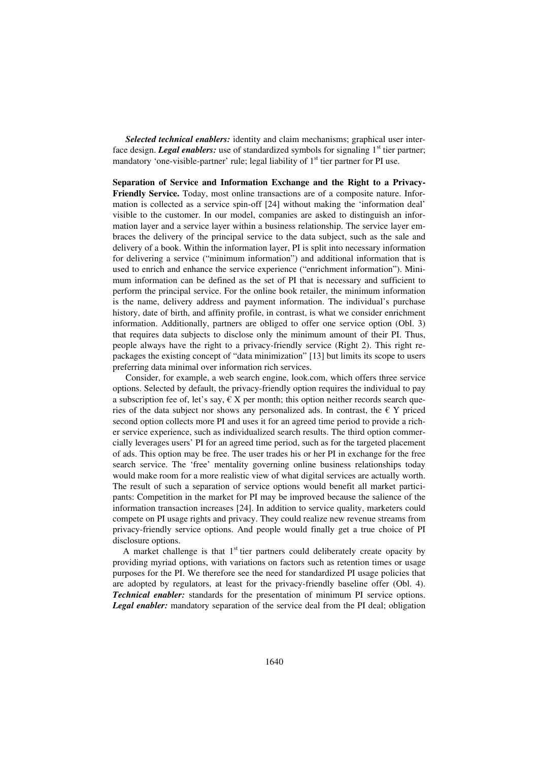*Selected technical enablers:* identity and claim mechanisms; graphical user interface design. *Legal enablers:* use of standardized symbols for signaling 1<sup>st</sup> tier partner; mandatory 'one-visible-partner' rule; legal liability of  $1<sup>st</sup>$  tier partner for PI use.

**Separation of Service and Information Exchange and the Right to a Privacy-Friendly Service.** Today, most online transactions are of a composite nature. Information is collected as a service spin-off [24] without making the 'information deal' visible to the customer. In our model, companies are asked to distinguish an information layer and a service layer within a business relationship. The service layer embraces the delivery of the principal service to the data subject, such as the sale and delivery of a book. Within the information layer, PI is split into necessary information for delivering a service ("minimum information") and additional information that is used to enrich and enhance the service experience ("enrichment information"). Minimum information can be defined as the set of PI that is necessary and sufficient to perform the principal service. For the online book retailer, the minimum information is the name, delivery address and payment information. The individual's purchase history, date of birth, and affinity profile, in contrast, is what we consider enrichment information. Additionally, partners are obliged to offer one service option (Obl. 3) that requires data subjects to disclose only the minimum amount of their PI. Thus, people always have the right to a privacy-friendly service (Right 2). This right repackages the existing concept of "data minimization" [13] but limits its scope to users preferring data minimal over information rich services.

Consider, for example, a web search engine, look.com, which offers three service options. Selected by default, the privacy-friendly option requires the individual to pay a subscription fee of, let's say,  $\epsilon$  X per month; this option neither records search queries of the data subject nor shows any personalized ads. In contrast, the  $\in Y$  priced second option collects more PI and uses it for an agreed time period to provide a richer service experience, such as individualized search results. The third option commercially leverages users' PI for an agreed time period, such as for the targeted placement of ads. This option may be free. The user trades his or her PI in exchange for the free search service. The 'free' mentality governing online business relationships today would make room for a more realistic view of what digital services are actually worth. The result of such a separation of service options would benefit all market participants: Competition in the market for PI may be improved because the salience of the information transaction increases [24]. In addition to service quality, marketers could compete on PI usage rights and privacy. They could realize new revenue streams from privacy-friendly service options. And people would finally get a true choice of PI disclosure options.

A market challenge is that  $1<sup>st</sup>$  tier partners could deliberately create opacity by providing myriad options, with variations on factors such as retention times or usage purposes for the PI. We therefore see the need for standardized PI usage policies that are adopted by regulators, at least for the privacy-friendly baseline offer (Obl. 4). *Technical enabler:* standards for the presentation of minimum PI service options. *Legal enabler:* mandatory separation of the service deal from the PI deal; obligation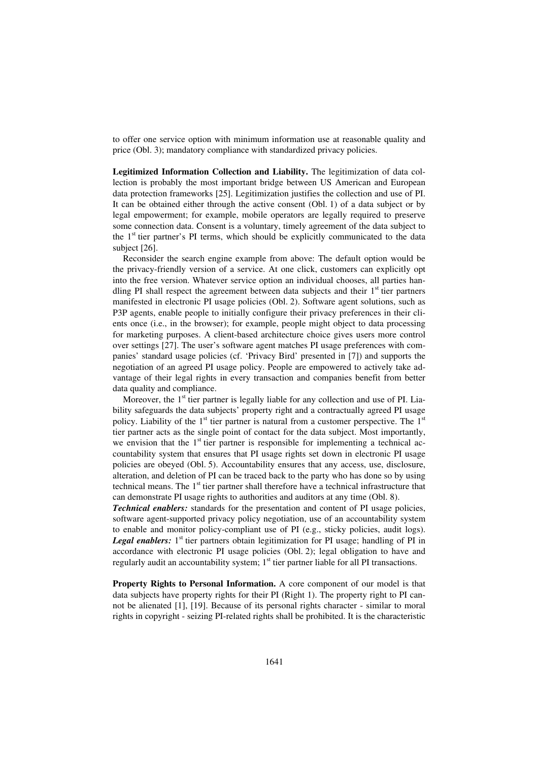to offer one service option with minimum information use at reasonable quality and price (Obl. 3); mandatory compliance with standardized privacy policies.

**Legitimized Information Collection and Liability.** The legitimization of data collection is probably the most important bridge between US American and European data protection frameworks [25]. Legitimization justifies the collection and use of PI. It can be obtained either through the active consent (Obl. 1) of a data subject or by legal empowerment; for example, mobile operators are legally required to preserve some connection data. Consent is a voluntary, timely agreement of the data subject to the  $1<sup>st</sup>$  tier partner's PI terms, which should be explicitly communicated to the data subject [26].

Reconsider the search engine example from above: The default option would be the privacy-friendly version of a service. At one click, customers can explicitly opt into the free version. Whatever service option an individual chooses, all parties handling PI shall respect the agreement between data subjects and their  $1<sup>st</sup>$  tier partners manifested in electronic PI usage policies (Obl. 2). Software agent solutions, such as P3P agents, enable people to initially configure their privacy preferences in their clients once (i.e., in the browser); for example, people might object to data processing for marketing purposes. A client-based architecture choice gives users more control over settings [27]. The user's software agent matches PI usage preferences with companies' standard usage policies (cf. 'Privacy Bird' presented in [7]) and supports the negotiation of an agreed PI usage policy. People are empowered to actively take advantage of their legal rights in every transaction and companies benefit from better data quality and compliance.

Moreover, the  $1<sup>st</sup>$  tier partner is legally liable for any collection and use of PI. Liability safeguards the data subjects' property right and a contractually agreed PI usage policy. Liability of the  $1<sup>st</sup>$  tier partner is natural from a customer perspective. The  $1<sup>st</sup>$ tier partner acts as the single point of contact for the data subject. Most importantly, we envision that the  $1<sup>st</sup>$  tier partner is responsible for implementing a technical accountability system that ensures that PI usage rights set down in electronic PI usage policies are obeyed (Obl. 5). Accountability ensures that any access, use, disclosure, alteration, and deletion of PI can be traced back to the party who has done so by using technical means. The  $1<sup>st</sup>$  tier partner shall therefore have a technical infrastructure that can demonstrate PI usage rights to authorities and auditors at any time (Obl. 8).

*Technical enablers:* standards for the presentation and content of PI usage policies, software agent-supported privacy policy negotiation, use of an accountability system to enable and monitor policy-compliant use of PI (e.g., sticky policies, audit logs). **Legal enablers:** 1<sup>st</sup> tier partners obtain legitimization for PI usage; handling of PI in accordance with electronic PI usage policies (Obl. 2); legal obligation to have and regularly audit an accountability system;  $1<sup>st</sup>$  tier partner liable for all PI transactions.

**Property Rights to Personal Information.** A core component of our model is that data subjects have property rights for their PI (Right 1). The property right to PI cannot be alienated [1], [19]. Because of its personal rights character - similar to moral rights in copyright - seizing PI-related rights shall be prohibited. It is the characteristic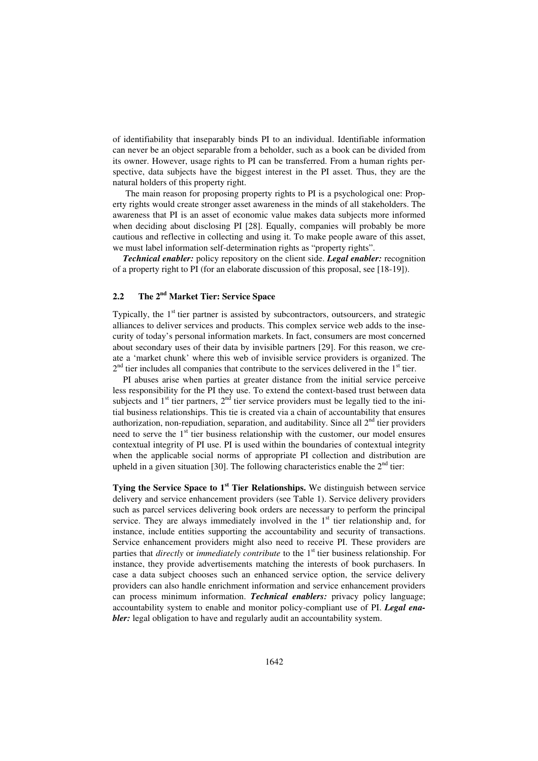of identifiability that inseparably binds PI to an individual. Identifiable information can never be an object separable from a beholder, such as a book can be divided from its owner. However, usage rights to PI can be transferred. From a human rights perspective, data subjects have the biggest interest in the PI asset. Thus, they are the natural holders of this property right.

The main reason for proposing property rights to PI is a psychological one: Property rights would create stronger asset awareness in the minds of all stakeholders. The awareness that PI is an asset of economic value makes data subjects more informed when deciding about disclosing PI [28]. Equally, companies will probably be more cautious and reflective in collecting and using it. To make people aware of this asset, we must label information self-determination rights as "property rights".

*Technical enabler:* policy repository on the client side. *Legal enabler:* recognition of a property right to PI (for an elaborate discussion of this proposal, see [18-19]).

# **2.2 The 2nd Market Tier: Service Space**

Typically, the  $1<sup>st</sup>$  tier partner is assisted by subcontractors, outsourcers, and strategic alliances to deliver services and products. This complex service web adds to the insecurity of today's personal information markets. In fact, consumers are most concerned about secondary uses of their data by invisible partners [29]. For this reason, we create a 'market chunk' where this web of invisible service providers is organized. The  $2<sup>nd</sup>$  tier includes all companies that contribute to the services delivered in the  $1<sup>st</sup>$  tier.

PI abuses arise when parties at greater distance from the initial service perceive less responsibility for the PI they use. To extend the context-based trust between data subjects and  $1<sup>st</sup>$  tier partners,  $2<sup>nd</sup>$  tier service providers must be legally tied to the initial business relationships. This tie is created via a chain of accountability that ensures authorization, non-repudiation, separation, and auditability. Since all  $2<sup>nd</sup>$  tier providers need to serve the  $1<sup>st</sup>$  tier business relationship with the customer, our model ensures contextual integrity of PI use. PI is used within the boundaries of contextual integrity when the applicable social norms of appropriate PI collection and distribution are upheld in a given situation [30]. The following characteristics enable the  $2<sup>nd</sup>$  tier:

**Tying the Service Space to 1<sup>st</sup> Tier Relationships.** We distinguish between service delivery and service enhancement providers (see Table 1). Service delivery providers such as parcel services delivering book orders are necessary to perform the principal service. They are always immediately involved in the  $1<sup>st</sup>$  tier relationship and, for instance, include entities supporting the accountability and security of transactions. Service enhancement providers might also need to receive PI. These providers are parties that *directly* or *immediately contribute* to the 1<sup>st</sup> tier business relationship. For instance, they provide advertisements matching the interests of book purchasers. In case a data subject chooses such an enhanced service option, the service delivery providers can also handle enrichment information and service enhancement providers can process minimum information. *Technical enablers:* privacy policy language; accountability system to enable and monitor policy-compliant use of PI. *Legal enabler*: legal obligation to have and regularly audit an accountability system.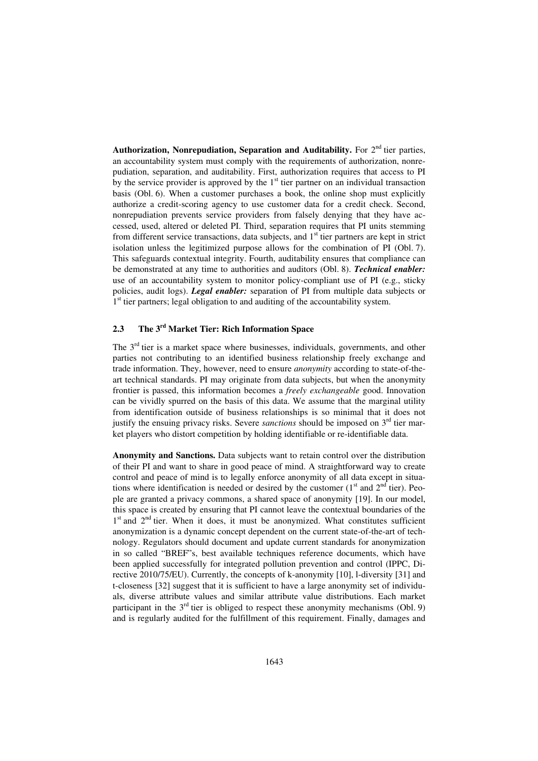Authorization, Nonrepudiation, Separation and Auditability. For 2<sup>nd</sup> tier parties, an accountability system must comply with the requirements of authorization, nonrepudiation, separation, and auditability. First, authorization requires that access to PI by the service provider is approved by the  $1<sup>st</sup>$  tier partner on an individual transaction basis (Obl. 6). When a customer purchases a book, the online shop must explicitly authorize a credit-scoring agency to use customer data for a credit check. Second, nonrepudiation prevents service providers from falsely denying that they have accessed, used, altered or deleted PI. Third, separation requires that PI units stemming from different service transactions, data subjects, and  $1<sup>st</sup>$  tier partners are kept in strict isolation unless the legitimized purpose allows for the combination of PI (Obl. 7). This safeguards contextual integrity. Fourth, auditability ensures that compliance can be demonstrated at any time to authorities and auditors (Obl. 8). *Technical enabler:* use of an accountability system to monitor policy-compliant use of PI (e.g., sticky policies, audit logs). *Legal enabler:* separation of PI from multiple data subjects or <sup>1st</sup> tier partners; legal obligation to and auditing of the accountability system.

## **2.3 The 3rd Market Tier: Rich Information Space**

The  $3<sup>rd</sup>$  tier is a market space where businesses, individuals, governments, and other parties not contributing to an identified business relationship freely exchange and trade information. They, however, need to ensure *anonymity* according to state-of-theart technical standards. PI may originate from data subjects, but when the anonymity frontier is passed, this information becomes a *freely exchangeable* good. Innovation can be vividly spurred on the basis of this data. We assume that the marginal utility from identification outside of business relationships is so minimal that it does not justify the ensuing privacy risks. Severe *sanctions* should be imposed on 3<sup>rd</sup> tier market players who distort competition by holding identifiable or re-identifiable data.

**Anonymity and Sanctions.** Data subjects want to retain control over the distribution of their PI and want to share in good peace of mind. A straightforward way to create control and peace of mind is to legally enforce anonymity of all data except in situations where identification is needed or desired by the customer  $(1<sup>st</sup>$  and  $2<sup>nd</sup>$  tier). People are granted a privacy commons, a shared space of anonymity [19]. In our model, this space is created by ensuring that PI cannot leave the contextual boundaries of the 1<sup>st</sup> and 2<sup>nd</sup> tier. When it does, it must be anonymized. What constitutes sufficient anonymization is a dynamic concept dependent on the current state-of-the-art of technology. Regulators should document and update current standards for anonymization in so called "BREF"s, best available techniques reference documents, which have been applied successfully for integrated pollution prevention and control (IPPC, Directive 2010/75/EU). Currently, the concepts of k-anonymity [10], l-diversity [31] and t-closeness [32] suggest that it is sufficient to have a large anonymity set of individuals, diverse attribute values and similar attribute value distributions. Each market participant in the  $3<sup>rd</sup>$  tier is obliged to respect these anonymity mechanisms (Obl. 9) and is regularly audited for the fulfillment of this requirement. Finally, damages and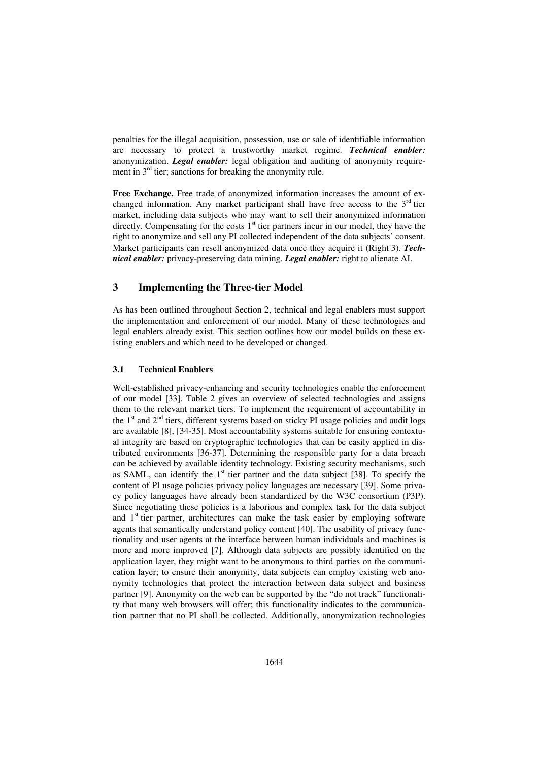penalties for the illegal acquisition, possession, use or sale of identifiable information are necessary to protect a trustworthy market regime. *Technical enabler:* anonymization. *Legal enabler:* legal obligation and auditing of anonymity requirement in 3<sup>rd</sup> tier; sanctions for breaking the anonymity rule.

**Free Exchange.** Free trade of anonymized information increases the amount of exchanged information. Any market participant shall have free access to the  $3<sup>rd</sup>$  tier market, including data subjects who may want to sell their anonymized information directly. Compensating for the costs  $1<sup>st</sup>$  tier partners incur in our model, they have the right to anonymize and sell any PI collected independent of the data subjects' consent. Market participants can resell anonymized data once they acquire it (Right 3). *Technical enabler:* privacy-preserving data mining. *Legal enabler:* right to alienate AI.

#### **3 Implementing the Three-tier Model**

As has been outlined throughout Section 2, technical and legal enablers must support the implementation and enforcement of our model. Many of these technologies and legal enablers already exist. This section outlines how our model builds on these existing enablers and which need to be developed or changed.

#### **3.1 Technical Enablers**

Well-established privacy-enhancing and security technologies enable the enforcement of our model [33]. Table 2 gives an overview of selected technologies and assigns them to the relevant market tiers. To implement the requirement of accountability in the  $1<sup>st</sup>$  and  $2<sup>nd</sup>$  tiers, different systems based on sticky PI usage policies and audit logs are available [8], [34-35]. Most accountability systems suitable for ensuring contextual integrity are based on cryptographic technologies that can be easily applied in distributed environments [36-37]. Determining the responsible party for a data breach can be achieved by available identity technology. Existing security mechanisms, such as SAML, can identify the  $1<sup>st</sup>$  tier partner and the data subject [38]. To specify the content of PI usage policies privacy policy languages are necessary [39]. Some privacy policy languages have already been standardized by the W3C consortium (P3P). Since negotiating these policies is a laborious and complex task for the data subject and  $1<sup>st</sup>$  tier partner, architectures can make the task easier by employing software agents that semantically understand policy content [40]. The usability of privacy functionality and user agents at the interface between human individuals and machines is more and more improved [7]. Although data subjects are possibly identified on the application layer, they might want to be anonymous to third parties on the communication layer; to ensure their anonymity, data subjects can employ existing web anonymity technologies that protect the interaction between data subject and business partner [9]. Anonymity on the web can be supported by the "do not track" functionality that many web browsers will offer; this functionality indicates to the communication partner that no PI shall be collected. Additionally, anonymization technologies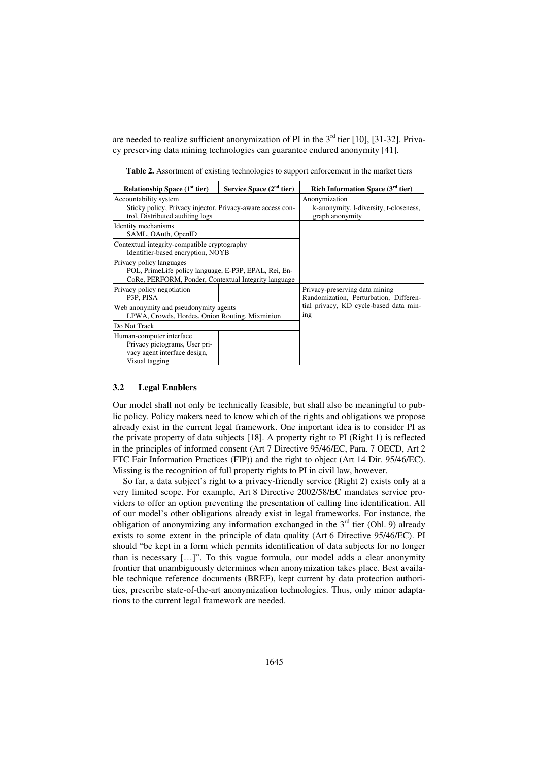are needed to realize sufficient anonymization of PI in the  $3<sup>rd</sup>$  tier [10], [31-32]. Privacy preserving data mining technologies can guarantee endured anonymity [41].

**Table 2.** Assortment of existing technologies to support enforcement in the market tiers

| Relationship Space $(1st$ tier)                                                                                                           | Service Space $(2nd$ tier)                                                 | Rich Information Space $(3rd$ tier) |  |  |  |
|-------------------------------------------------------------------------------------------------------------------------------------------|----------------------------------------------------------------------------|-------------------------------------|--|--|--|
| Accountability system<br>Sticky policy, Privacy injector, Privacy-aware access con-<br>trol, Distributed auditing logs                    | Anonymization<br>k-anonymity, 1-diversity, t-closeness,<br>graph anonymity |                                     |  |  |  |
| Identity mechanisms<br>SAML, OAuth, OpenID                                                                                                |                                                                            |                                     |  |  |  |
| Contextual integrity-compatible cryptography<br>Identifier-based encryption, NOYB                                                         |                                                                            |                                     |  |  |  |
| Privacy policy languages<br>POL, PrimeLife policy language, E-P3P, EPAL, Rei, En-<br>CoRe, PERFORM, Ponder, Contextual Integrity language |                                                                            |                                     |  |  |  |
| Privacy policy negotiation<br>P3P. PISA                                                                                                   | Privacy-preserving data mining<br>Randomization, Perturbation, Differen-   |                                     |  |  |  |
| Web anonymity and pseudonymity agents<br>LPWA, Crowds, Hordes, Onion Routing, Mixminion                                                   | tial privacy, KD cycle-based data min-<br>ing                              |                                     |  |  |  |
| Do Not Track                                                                                                                              |                                                                            |                                     |  |  |  |
| Human-computer interface<br>Privacy pictograms, User pri-<br>vacy agent interface design,<br>Visual tagging                               |                                                                            |                                     |  |  |  |

#### **3.2 Legal Enablers**

Our model shall not only be technically feasible, but shall also be meaningful to public policy. Policy makers need to know which of the rights and obligations we propose already exist in the current legal framework. One important idea is to consider PI as the private property of data subjects [18]. A property right to PI (Right 1) is reflected in the principles of informed consent (Art 7 Directive 95/46/EC, Para. 7 OECD, Art 2 FTC Fair Information Practices (FIP)) and the right to object (Art 14 Dir. 95/46/EC). Missing is the recognition of full property rights to PI in civil law, however.

So far, a data subject's right to a privacy-friendly service (Right 2) exists only at a very limited scope. For example, Art 8 Directive 2002/58/EC mandates service providers to offer an option preventing the presentation of calling line identification. All of our model's other obligations already exist in legal frameworks. For instance, the obligation of anonymizing any information exchanged in the  $3<sup>rd</sup>$  tier (Obl. 9) already exists to some extent in the principle of data quality (Art 6 Directive 95/46/EC). PI should "be kept in a form which permits identification of data subjects for no longer than is necessary […]". To this vague formula, our model adds a clear anonymity frontier that unambiguously determines when anonymization takes place. Best available technique reference documents (BREF), kept current by data protection authorities, prescribe state-of-the-art anonymization technologies. Thus, only minor adaptations to the current legal framework are needed.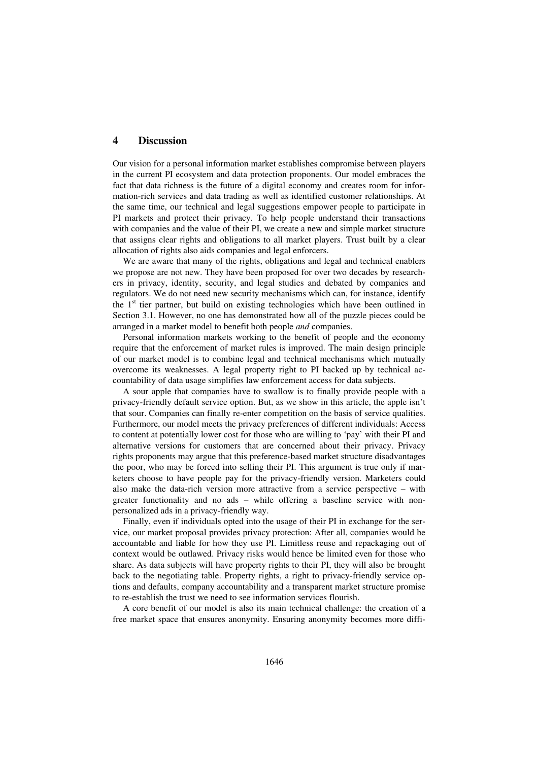### **4 Discussion**

Our vision for a personal information market establishes compromise between players in the current PI ecosystem and data protection proponents. Our model embraces the fact that data richness is the future of a digital economy and creates room for information-rich services and data trading as well as identified customer relationships. At the same time, our technical and legal suggestions empower people to participate in PI markets and protect their privacy. To help people understand their transactions with companies and the value of their PI, we create a new and simple market structure that assigns clear rights and obligations to all market players. Trust built by a clear allocation of rights also aids companies and legal enforcers.

We are aware that many of the rights, obligations and legal and technical enablers we propose are not new. They have been proposed for over two decades by researchers in privacy, identity, security, and legal studies and debated by companies and regulators. We do not need new security mechanisms which can, for instance, identify the  $1<sup>st</sup>$  tier partner, but build on existing technologies which have been outlined in Section 3.1. However, no one has demonstrated how all of the puzzle pieces could be arranged in a market model to benefit both people *and* companies.

Personal information markets working to the benefit of people and the economy require that the enforcement of market rules is improved. The main design principle of our market model is to combine legal and technical mechanisms which mutually overcome its weaknesses. A legal property right to PI backed up by technical accountability of data usage simplifies law enforcement access for data subjects.

A sour apple that companies have to swallow is to finally provide people with a privacy-friendly default service option. But, as we show in this article, the apple isn't that sour. Companies can finally re-enter competition on the basis of service qualities. Furthermore, our model meets the privacy preferences of different individuals: Access to content at potentially lower cost for those who are willing to 'pay' with their PI and alternative versions for customers that are concerned about their privacy. Privacy rights proponents may argue that this preference-based market structure disadvantages the poor, who may be forced into selling their PI. This argument is true only if marketers choose to have people pay for the privacy-friendly version. Marketers could also make the data-rich version more attractive from a service perspective – with greater functionality and no ads – while offering a baseline service with nonpersonalized ads in a privacy-friendly way.

Finally, even if individuals opted into the usage of their PI in exchange for the service, our market proposal provides privacy protection: After all, companies would be accountable and liable for how they use PI. Limitless reuse and repackaging out of context would be outlawed. Privacy risks would hence be limited even for those who share. As data subjects will have property rights to their PI, they will also be brought back to the negotiating table. Property rights, a right to privacy-friendly service options and defaults, company accountability and a transparent market structure promise to re-establish the trust we need to see information services flourish.

A core benefit of our model is also its main technical challenge: the creation of a free market space that ensures anonymity. Ensuring anonymity becomes more diffi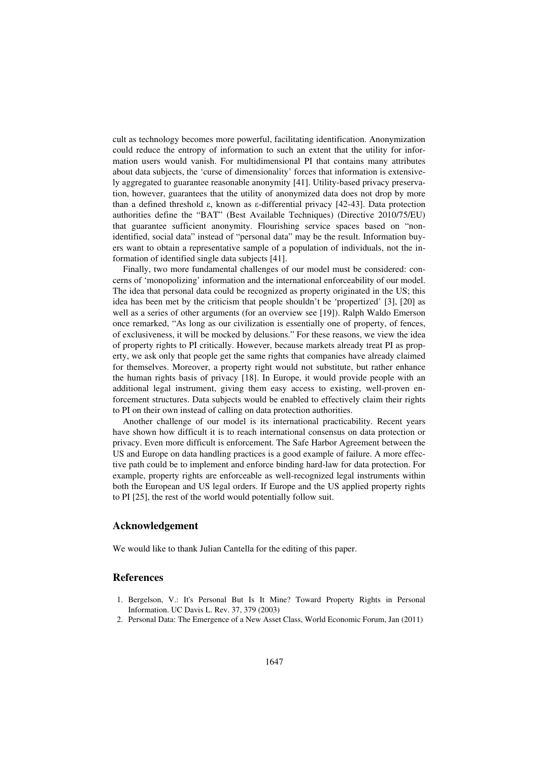cult as technology becomes more powerful, facilitating identification. Anonymization could reduce the entropy of information to such an extent that the utility for information users would vanish. For multidimensional PI that contains many attributes about data subjects, the 'curse of dimensionality' forces that information is extensively aggregated to guarantee reasonable anonymity [41]. Utility-based privacy preservation, however, guarantees that the utility of anonymized data does not drop by more than a defined threshold  $\varepsilon$ , known as  $\varepsilon$ -differential privacy [42-43]. Data protection authorities define the "BAT" (Best Available Techniques) (Directive 2010/75/EU) that guarantee sufficient anonymity. Flourishing service spaces based on "nonidentified, social data" instead of "personal data" may be the result. Information buyers want to obtain a representative sample of a population of individuals, not the information of identified single data subjects [41].

Finally, two more fundamental challenges of our model must be considered: concerns of 'monopolizing' information and the international enforceability of our model. The idea that personal data could be recognized as property originated in the US; this idea has been met by the criticism that people shouldn't be 'propertized' [3], [20] as well as a series of other arguments (for an overview see [19]). Ralph Waldo Emerson once remarked, "As long as our civilization is essentially one of property, of fences, of exclusiveness, it will be mocked by delusions." For these reasons, we view the idea of property rights to PI critically. However, because markets already treat PI as property, we ask only that people get the same rights that companies have already claimed for themselves. Moreover, a property right would not substitute, but rather enhance the human rights basis of privacy [18]. In Europe, it would provide people with an additional legal instrument, giving them easy access to existing, well-proven enforcement structures. Data subjects would be enabled to effectively claim their rights to PI on their own instead of calling on data protection authorities.

Another challenge of our model is its international practicability. Recent years have shown how difficult it is to reach international consensus on data protection or privacy. Even more difficult is enforcement. The Safe Harbor Agreement between the US and Europe on data handling practices is a good example of failure. A more effective path could be to implement and enforce binding hard-law for data protection. For example, property rights are enforceable as well-recognized legal instruments within both the European and US legal orders. If Europe and the US applied property rights to PI [25], the rest of the world would potentially follow suit.

#### **Acknowledgement**

We would like to thank Julian Cantella for the editing of this paper.

#### **References**

- 1. Bergelson, V.: It's Personal But Is It Mine? Toward Property Rights in Personal Information. UC Davis L. Rev. 37, 379 (2003)
- 2. Personal Data: The Emergence of a New Asset Class, World Economic Forum, Jan (2011)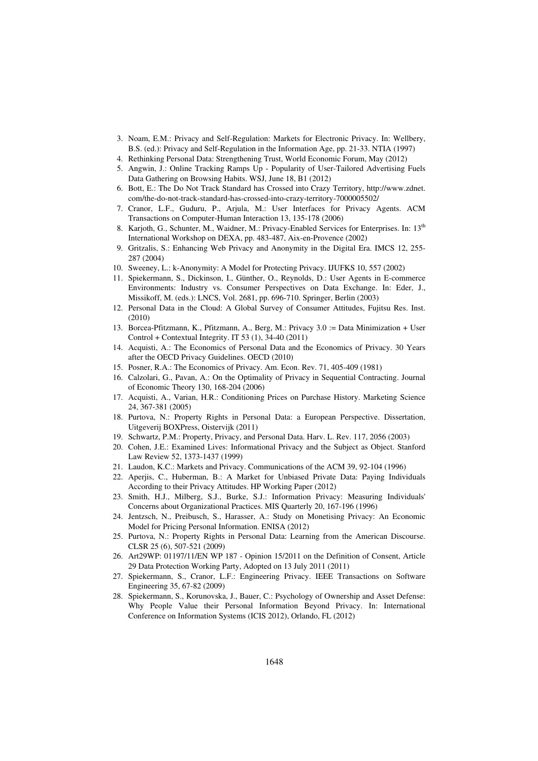- 3. Noam, E.M.: Privacy and Self-Regulation: Markets for Electronic Privacy. In: Wellbery, B.S. (ed.): Privacy and Self-Regulation in the Information Age, pp. 21-33. NTIA (1997)
- 4. Rethinking Personal Data: Strengthening Trust, World Economic Forum, May (2012)
- 5. Angwin, J.: Online Tracking Ramps Up Popularity of User-Tailored Advertising Fuels Data Gathering on Browsing Habits. WSJ, June 18, B1 (2012)
- 6. Bott, E.: The Do Not Track Standard has Crossed into Crazy Territory, http://www.zdnet. com/the-do-not-track-standard-has-crossed-into-crazy-territory-7000005502/
- 7. Cranor, L.F., Guduru, P., Arjula, M.: User Interfaces for Privacy Agents. ACM Transactions on Computer-Human Interaction 13, 135-178 (2006)
- 8. Karjoth, G., Schunter, M., Waidner, M.: Privacy-Enabled Services for Enterprises. In: 13<sup>th</sup> International Workshop on DEXA, pp. 483-487, Aix-en-Provence (2002)
- 9. Gritzalis, S.: Enhancing Web Privacy and Anonymity in the Digital Era. IMCS 12, 255- 287 (2004)
- 10. Sweeney, L.: k-Anonymity: A Model for Protecting Privacy. IJUFKS 10, 557 (2002)
- 11. Spiekermann, S., Dickinson, I., Günther, O., Reynolds, D.: User Agents in E-commerce Environments: Industry vs. Consumer Perspectives on Data Exchange. In: Eder, J., Missikoff, M. (eds.): LNCS, Vol. 2681, pp. 696-710. Springer, Berlin (2003)
- 12. Personal Data in the Cloud: A Global Survey of Consumer Attitudes, Fujitsu Res. Inst. (2010)
- 13. Borcea-Pfitzmann, K., Pfitzmann, A., Berg, M.: Privacy 3.0 := Data Minimization + User Control + Contextual Integrity. IT 53 (1), 34-40 (2011)
- 14. Acquisti, A.: The Economics of Personal Data and the Economics of Privacy. 30 Years after the OECD Privacy Guidelines. OECD (2010)
- 15. Posner, R.A.: The Economics of Privacy. Am. Econ. Rev. 71, 405-409 (1981)
- 16. Calzolari, G., Pavan, A.: On the Optimality of Privacy in Sequential Contracting. Journal of Economic Theory 130, 168-204 (2006)
- 17. Acquisti, A., Varian, H.R.: Conditioning Prices on Purchase History. Marketing Science 24, 367-381 (2005)
- 18. Purtova, N.: Property Rights in Personal Data: a European Perspective. Dissertation, Uitgeverij BOXPress, Oistervijk (2011)
- 19. Schwartz, P.M.: Property, Privacy, and Personal Data. Harv. L. Rev. 117, 2056 (2003)
- 20. Cohen, J.E.: Examined Lives: Informational Privacy and the Subject as Object. Stanford Law Review 52, 1373-1437 (1999)
- 21. Laudon, K.C.: Markets and Privacy. Communications of the ACM 39, 92-104 (1996)
- 22. Aperjis, C., Huberman, B.: A Market for Unbiased Private Data: Paying Individuals According to their Privacy Attitudes. HP Working Paper (2012)
- 23. Smith, H.J., Milberg, S.J., Burke, S.J.: Information Privacy: Measuring Individuals' Concerns about Organizational Practices. MIS Quarterly 20, 167-196 (1996)
- 24. Jentzsch, N., Preibusch, S., Harasser, A.: Study on Monetising Privacy: An Economic Model for Pricing Personal Information. ENISA (2012)
- 25. Purtova, N.: Property Rights in Personal Data: Learning from the American Discourse. CLSR 25 (6), 507-521 (2009)
- 26. Art29WP: 01197/11/EN WP 187 Opinion 15/2011 on the Definition of Consent, Article 29 Data Protection Working Party, Adopted on 13 July 2011 (2011)
- 27. Spiekermann, S., Cranor, L.F.: Engineering Privacy. IEEE Transactions on Software Engineering 35, 67-82 (2009)
- 28. Spiekermann, S., Korunovska, J., Bauer, C.: Psychology of Ownership and Asset Defense: Why People Value their Personal Information Beyond Privacy. In: International Conference on Information Systems (ICIS 2012), Orlando, FL (2012)